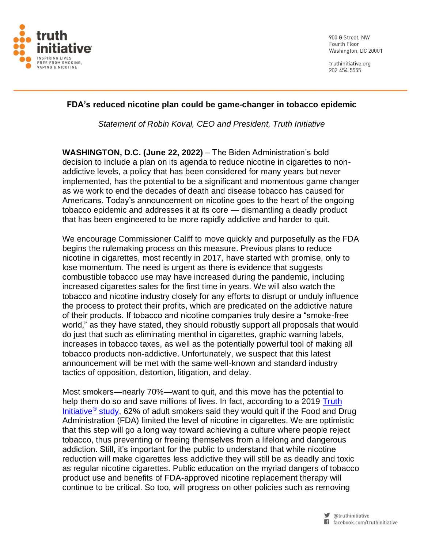

900 G Street, NW Fourth Floor Washington, DC 20001

truthinitiative.org 202 454 5555

## **FDA's reduced nicotine plan could be game-changer in tobacco epidemic**

*Statement of Robin Koval, CEO and President, Truth Initiative*

**WASHINGTON, D.C. (June 22, 2022)** – The Biden Administration's bold decision to include a plan on its agenda to reduce nicotine in cigarettes to nonaddictive levels, a policy that has been considered for many years but never implemented, has the potential to be a significant and momentous game changer as we work to end the decades of death and disease tobacco has caused for Americans. Today's announcement on nicotine goes to the heart of the ongoing tobacco epidemic and addresses it at its core — dismantling a deadly product that has been engineered to be more rapidly addictive and harder to quit.

We encourage Commissioner Califf to move quickly and purposefully as the FDA begins the rulemaking process on this measure. Previous plans to reduce nicotine in cigarettes, most recently in 2017, have started with promise, only to lose momentum. The need is urgent as there is evidence that suggests combustible tobacco use may have increased during the pandemic, including increased cigarettes sales for the first time in years. We will also watch the tobacco and nicotine industry closely for any efforts to disrupt or unduly influence the process to protect their profits, which are predicated on the addictive nature of their products. If tobacco and nicotine companies truly desire a "smoke-free world," as they have stated, they should robustly support all proposals that would do just that such as eliminating menthol in cigarettes, graphic warning labels, increases in tobacco taxes, as well as the potentially powerful tool of making all tobacco products non-addictive. Unfortunately, we suspect that this latest announcement will be met with the same well-known and standard industry tactics of opposition, distortion, litigation, and delay.

Most smokers—nearly 70%—want to quit, and this move has the potential to help them do so and save millions of lives. In fact, according to a 2019 [Truth](https://www.sciencedirect.com/science/article/abs/pii/S0376871619304223)  [Initiative](https://www.sciencedirect.com/science/article/abs/pii/S0376871619304223)<sup>®</sup> study, 62% of adult smokers said they would quit if the Food and Drug Administration (FDA) limited the level of nicotine in cigarettes. We are optimistic that this step will go a long way toward achieving a culture where people reject tobacco, thus preventing or freeing themselves from a lifelong and dangerous addiction. Still, it's important for the public to understand that while nicotine reduction will make cigarettes less addictive they will still be as deadly and toxic as regular nicotine cigarettes. Public education on the myriad dangers of tobacco product use and benefits of FDA-approved nicotine replacement therapy will continue to be critical. So too, will progress on other policies such as removing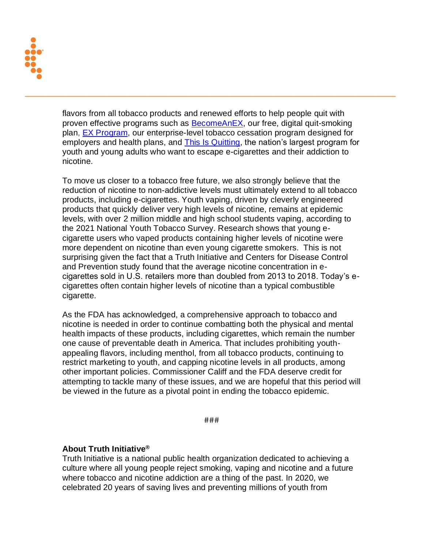

flavors from all tobacco products and renewed efforts to help people quit with proven effective programs such as **BecomeAnEX**, our free, digital quit-smoking plan, [EX Program,](https://www.theexprogram.com/) our enterprise-level tobacco cessation program designed for employers and health plans, and [This Is Quitting,](https://truthinitiative.org/thisisquitting) the nation's largest program for youth and young adults who want to escape e-cigarettes and their addiction to nicotine.

To move us closer to a tobacco free future, we also strongly believe that the reduction of nicotine to non-addictive levels must ultimately extend to all tobacco products, including e-cigarettes. Youth vaping, driven by cleverly engineered products that quickly deliver very high levels of nicotine, remains at epidemic levels, with over 2 million middle and high school students vaping, according to the 2021 National Youth Tobacco Survey. Research shows that young ecigarette users who vaped products containing higher levels of nicotine were more dependent on nicotine than even young cigarette smokers. This is not surprising given the fact that a Truth Initiative and Centers for Disease Control and Prevention study found that the average nicotine concentration in ecigarettes sold in U.S. retailers more than doubled from 2013 to 2018. Today's ecigarettes often contain higher levels of nicotine than a typical combustible cigarette.

As the FDA has acknowledged, a comprehensive approach to tobacco and nicotine is needed in order to continue combatting both the physical and mental health impacts of these products, including cigarettes, which remain the number one cause of preventable death in America. That includes prohibiting youthappealing flavors, including menthol, from all tobacco products, continuing to restrict marketing to youth, and capping nicotine levels in all products, among other important policies. Commissioner Califf and the FDA deserve credit for attempting to tackle many of these issues, and we are hopeful that this period will be viewed in the future as a pivotal point in ending the tobacco epidemic.

###

## **About Truth Initiative®**

Truth Initiative is a national public health organization dedicated to achieving a culture where all young people reject smoking, vaping and nicotine and a future where tobacco and nicotine addiction are a thing of the past. In 2020, we celebrated 20 years of saving lives and preventing millions of youth from